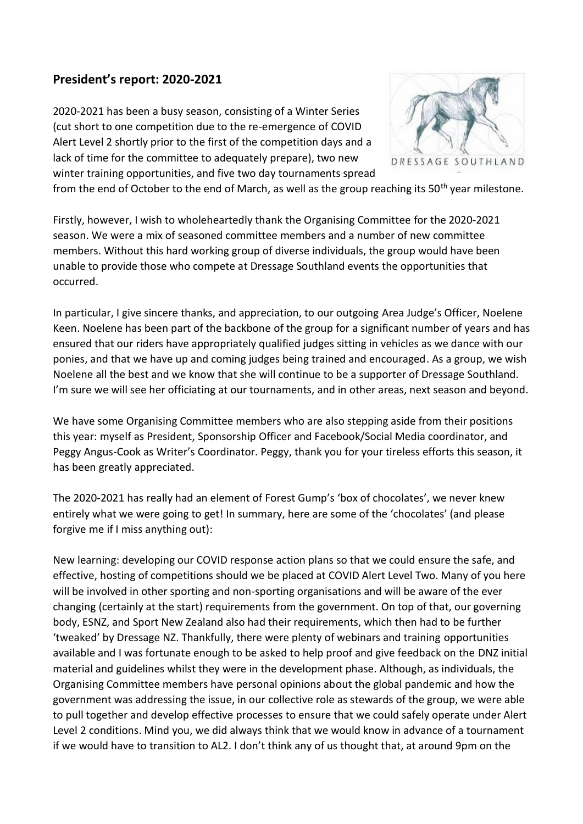## **President's report: 2020-2021**

2020-2021 has been a busy season, consisting of a Winter Series (cut short to one competition due to the re-emergence of COVID Alert Level 2 shortly prior to the first of the competition days and a lack of time for the committee to adequately prepare), two new winter training opportunities, and five two day tournaments spread



from the end of October to the end of March, as well as the group reaching its  $50<sup>th</sup>$  year milestone.

Firstly, however, I wish to wholeheartedly thank the Organising Committee for the 2020-2021 season. We were a mix of seasoned committee members and a number of new committee members. Without this hard working group of diverse individuals, the group would have been unable to provide those who compete at Dressage Southland events the opportunities that occurred.

In particular, I give sincere thanks, and appreciation, to our outgoing Area Judge's Officer, Noelene Keen. Noelene has been part of the backbone of the group for a significant number of years and has ensured that our riders have appropriately qualified judges sitting in vehicles as we dance with our ponies, and that we have up and coming judges being trained and encouraged. As a group, we wish Noelene all the best and we know that she will continue to be a supporter of Dressage Southland. I'm sure we will see her officiating at our tournaments, and in other areas, next season and beyond.

We have some Organising Committee members who are also stepping aside from their positions this year: myself as President, Sponsorship Officer and Facebook/Social Media coordinator, and Peggy Angus-Cook as Writer's Coordinator. Peggy, thank you for your tireless efforts this season, it has been greatly appreciated.

The 2020-2021 has really had an element of Forest Gump's 'box of chocolates', we never knew entirely what we were going to get! In summary, here are some of the 'chocolates' (and please forgive me if I miss anything out):

New learning: developing our COVID response action plans so that we could ensure the safe, and effective, hosting of competitions should we be placed at COVID Alert Level Two. Many of you here will be involved in other sporting and non-sporting organisations and will be aware of the ever changing (certainly at the start) requirements from the government. On top of that, our governing body, ESNZ, and Sport New Zealand also had their requirements, which then had to be further 'tweaked' by Dressage NZ. Thankfully, there were plenty of webinars and training opportunities available and I was fortunate enough to be asked to help proof and give feedback on the DNZ initial material and guidelines whilst they were in the development phase. Although, as individuals, the Organising Committee members have personal opinions about the global pandemic and how the government was addressing the issue, in our collective role as stewards of the group, we were able to pull together and develop effective processes to ensure that we could safely operate under Alert Level 2 conditions. Mind you, we did always think that we would know in advance of a tournament if we would have to transition to AL2. I don't think any of us thought that, at around 9pm on the